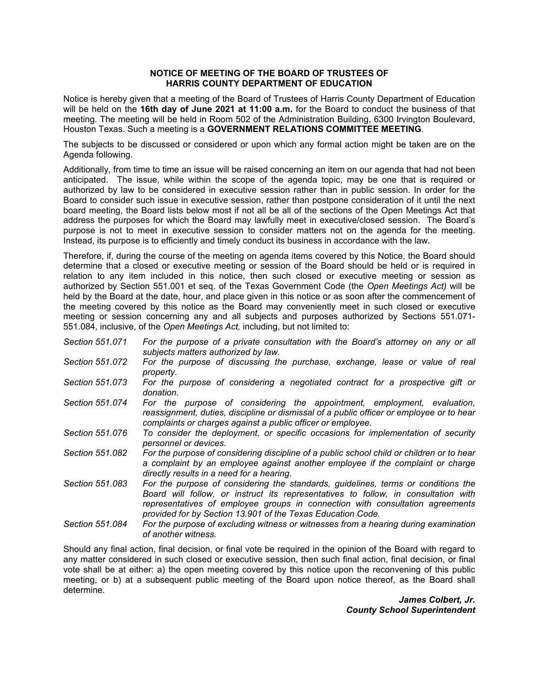## **NOTICE OF MEETING OF THE BOARD OF TRUSTEES OF HARRIS COUNTY DEPARTMENT OF EDUCATION**

Notice is hereby given that a meeting of the Board of Trustees of Harris County Department of Education will be held on the **16th day of June 2021 at 11:00 a.m.** for the Board to conduct the business of that meeting. The meeting will be held in Room 502 of the Administration Building, 6300 Irvington Boulevard, Houston Texas. Such a meeting is a **GOVERNMENT RELATIONS COMMITTEE MEETING**.

The subjects to be discussed or considered or upon which any formal action might be taken are on the Agenda following.

Additionally, from time to time an issue will be raised concerning an item on our agenda that had not been anticipated. The issue, while within the scope of the agenda topic, may be one that is required or authorized by law to be considered in executive session rather than in public session. In order for the Board to consider such issue in executive session, rather than postpone consideration of it until the next board meeting, the Board lists below most if not all be all of the sections of the Open Meetings Act that address the purposes for which the Board may lawfully meet in executive/closed session. The Board's purpose is not to meet in executive session to consider matters not on the agenda for the meeting. Instead, its purpose is to efficiently and timely conduct its business in accordance with the law.

Therefore, if, during the course of the meeting on agenda items covered by this Notice, the Board should determine that a closed or executive meeting or session of the Board should be held or is required in relation to any item included in this notice, then such closed or executive meeting or session as authorized by Section 551.001 et seq. of the Texas Government Code (the *Open Meetings Act)* will be held by the Board at the date, hour, and place given in this notice or as soon after the commencement of the meeting covered by this notice as the Board may conveniently meet in such closed or executive meeting or session concerning any and all subjects and purposes authorized by Sections 551.071- 551.084, inclusive, of the *Open Meetings Act,* including, but not limited to:

- *Section 551.071 For the purpose of a private consultation with the Board's attorney on any or all subjects matters authorized by law.*
- *Section 551.072 For the purpose of discussing the purchase, exchange, lease or value of real property.*
- *Section 551.073 For the purpose of considering a negotiated contract for a prospective gift or donation.*
- *Section 551.074 For the purpose of considering the appointment, employment, evaluation, reassignment, duties, discipline or dismissal of a public officer or employee or to hear complaints or charges against a public officer or employee.*
- *Section 551.076 To consider the deployment, or specific occasions for implementation of security personnel or devices.*
- *Section 551.082 For the purpose of considering discipline of a public school child or children or to hear a complaint by an employee against another employee if the complaint or charge directly results in a need for a hearing.*
- *Section 551.083 For the purpose of considering the standards, guidelines, terms or conditions the Board will follow, or instruct its representatives to follow, in consultation with representatives of employee groups in connection with consultation agreements provided for by Section 13.901 of the Texas Education Code.*
- *Section 551.084 For the purpose of excluding witness or witnesses from a hearing during examination of another witness.*

Should any final action, final decision, or final vote be required in the opinion of the Board with regard to any matter considered in such closed or executive session, then such final action, final decision, or final vote shall be at either: a) the open meeting covered by this notice upon the reconvening of this public meeting, or b) at a subsequent public meeting of the Board upon notice thereof, as the Board shall determine.

> *James Colbert, Jr. County School Superintendent*